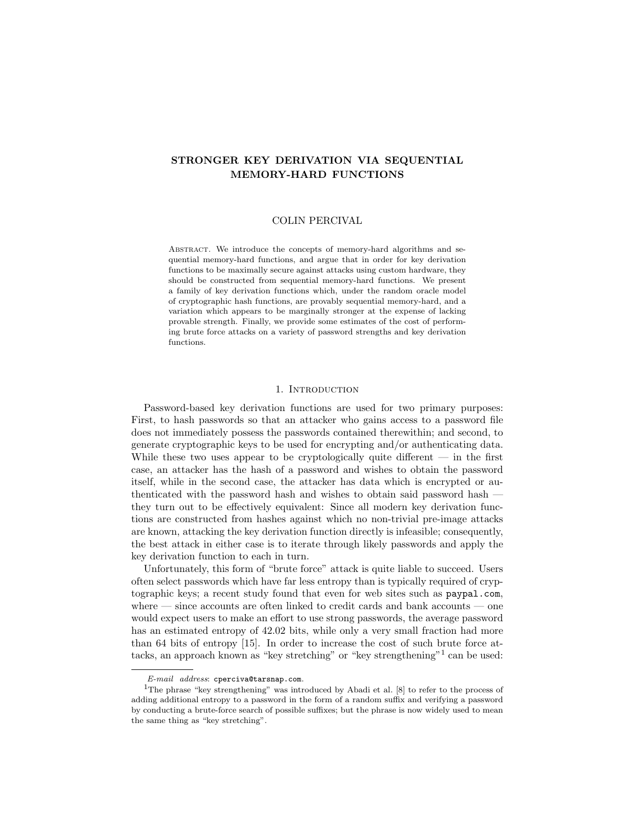# STRONGER KEY DERIVATION VIA SEQUENTIAL MEMORY-HARD FUNCTIONS

## COLIN PERCIVAL

ABSTRACT. We introduce the concepts of memory-hard algorithms and sequential memory-hard functions, and argue that in order for key derivation functions to be maximally secure against attacks using custom hardware, they should be constructed from sequential memory-hard functions. We present a family of key derivation functions which, under the random oracle model of cryptographic hash functions, are provably sequential memory-hard, and a variation which appears to be marginally stronger at the expense of lacking provable strength. Finally, we provide some estimates of the cost of performing brute force attacks on a variety of password strengths and key derivation functions.

## 1. INTRODUCTION

Password-based key derivation functions are used for two primary purposes: First, to hash passwords so that an attacker who gains access to a password file does not immediately possess the passwords contained therewithin; and second, to generate cryptographic keys to be used for encrypting and/or authenticating data. While these two uses appear to be cryptologically quite different  $-$  in the first case, an attacker has the hash of a password and wishes to obtain the password itself, while in the second case, the attacker has data which is encrypted or authenticated with the password hash and wishes to obtain said password hash they turn out to be effectively equivalent: Since all modern key derivation functions are constructed from hashes against which no non-trivial pre-image attacks are known, attacking the key derivation function directly is infeasible; consequently, the best attack in either case is to iterate through likely passwords and apply the key derivation function to each in turn.

Unfortunately, this form of "brute force" attack is quite liable to succeed. Users often select passwords which have far less entropy than is typically required of cryptographic keys; a recent study found that even for web sites such as paypal.com, where — since accounts are often linked to credit cards and bank accounts — one would expect users to make an effort to use strong passwords, the average password has an estimated entropy of 42.02 bits, while only a very small fraction had more than 64 bits of entropy [15]. In order to increase the cost of such brute force attacks, an approach known as "key stretching" or "key strengthening"<sup>1</sup> can be used:

*E-mail address*: cperciva@tarsnap.com.

<sup>&</sup>lt;sup>1</sup>The phrase "key strengthening" was introduced by Abadi et al. [8] to refer to the process of adding additional entropy to a password in the form of a random suffix and verifying a password by conducting a brute-force search of possible suffixes; but the phrase is now widely used to mean the same thing as "key stretching".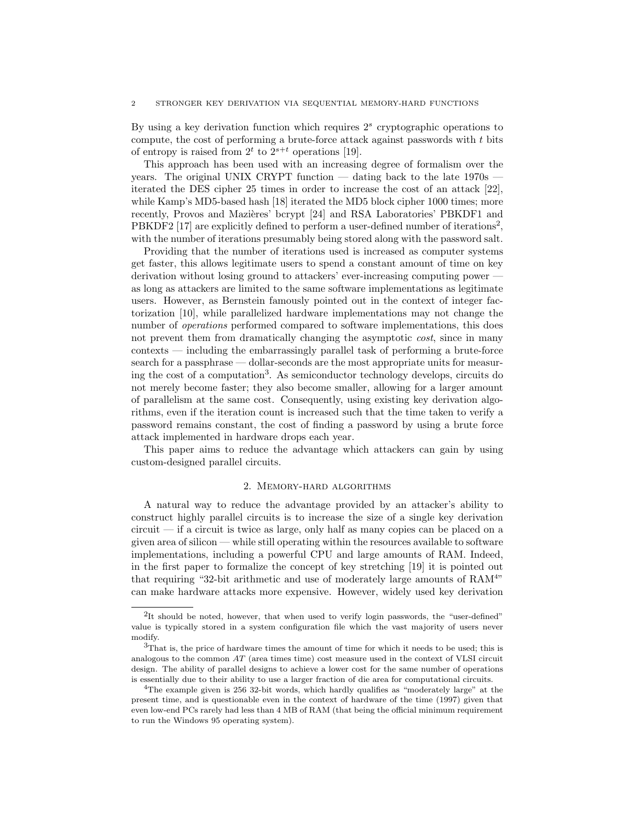By using a key derivation function which requires  $2<sup>s</sup>$  cryptographic operations to compute, the cost of performing a brute-force attack against passwords with  $t$  bits of entropy is raised from  $2^t$  to  $2^{s+t}$  operations [19].

This approach has been used with an increasing degree of formalism over the years. The original UNIX CRYPT function — dating back to the late 1970s iterated the DES cipher 25 times in order to increase the cost of an attack [22], while Kamp's MD5-based hash [18] iterated the MD5 block cipher 1000 times; more recently, Provos and Mazières' bcrypt [24] and RSA Laboratories' PBKDF1 and PBKDF2 [17] are explicitly defined to perform a user-defined number of iterations<sup>2</sup>, with the number of iterations presumably being stored along with the password salt.

Providing that the number of iterations used is increased as computer systems get faster, this allows legitimate users to spend a constant amount of time on key derivation without losing ground to attackers' ever-increasing computing power as long as attackers are limited to the same software implementations as legitimate users. However, as Bernstein famously pointed out in the context of integer factorization [10], while parallelized hardware implementations may not change the number of operations performed compared to software implementations, this does not prevent them from dramatically changing the asymptotic *cost*, since in many contexts — including the embarrassingly parallel task of performing a brute-force search for a passphrase — dollar-seconds are the most appropriate units for measuring the cost of a computation<sup>3</sup> . As semiconductor technology develops, circuits do not merely become faster; they also become smaller, allowing for a larger amount of parallelism at the same cost. Consequently, using existing key derivation algorithms, even if the iteration count is increased such that the time taken to verify a password remains constant, the cost of finding a password by using a brute force attack implemented in hardware drops each year.

This paper aims to reduce the advantage which attackers can gain by using custom-designed parallel circuits.

#### 2. Memory-hard algorithms

A natural way to reduce the advantage provided by an attacker's ability to construct highly parallel circuits is to increase the size of a single key derivation  $circuit - if a circuit is twice as large, only half as many copies can be placed on a$ given area of silicon — while still operating within the resources available to software implementations, including a powerful CPU and large amounts of RAM. Indeed, in the first paper to formalize the concept of key stretching [19] it is pointed out that requiring "32-bit arithmetic and use of moderately large amounts of RAM<sup>4</sup>" can make hardware attacks more expensive. However, widely used key derivation

<sup>&</sup>lt;sup>2</sup>It should be noted, however, that when used to verify login passwords, the "user-defined" value is typically stored in a system configuration file which the vast majority of users never modify.

<sup>&</sup>lt;sup>3</sup>That is, the price of hardware times the amount of time for which it needs to be used; this is analogous to the common AT (area times time) cost measure used in the context of VLSI circuit design. The ability of parallel designs to achieve a lower cost for the same number of operations is essentially due to their ability to use a larger fraction of die area for computational circuits.

<sup>4</sup>The example given is 256 32-bit words, which hardly qualifies as "moderately large" at the present time, and is questionable even in the context of hardware of the time (1997) given that even low-end PCs rarely had less than 4 MB of RAM (that being the official minimum requirement to run the Windows 95 operating system).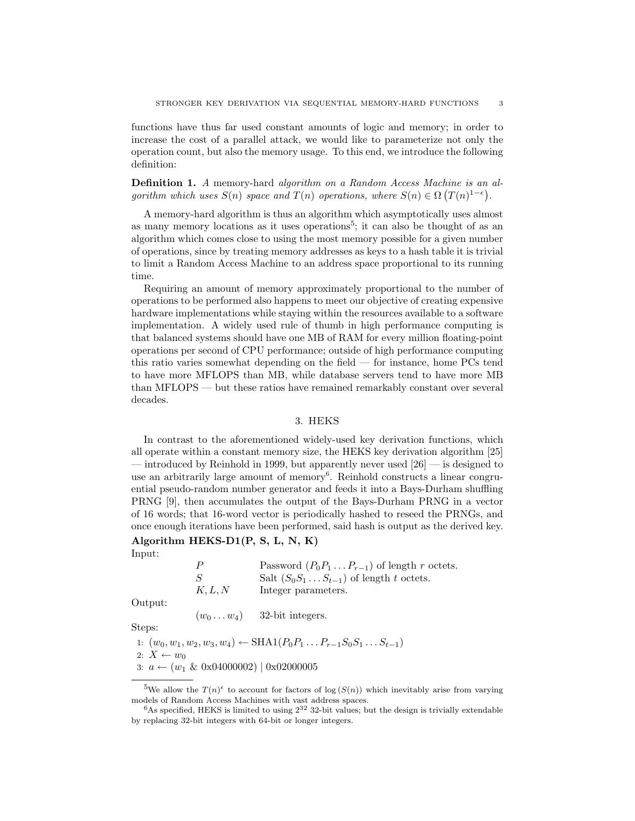functions have thus far used constant amounts of logic and memory; in order to increase the cost of a parallel attack, we would like to parameterize not only the operation count, but also the memory usage. To this end, we introduce the following definition:

Definition 1. A memory-hard algorithm on a Random Access Machine is an algorithm which uses  $S(n)$  space and  $T(n)$  operations, where  $S(n) \in \Omega(T(n)^{1-\epsilon})$ .

A memory-hard algorithm is thus an algorithm which asymptotically uses almost as many memory locations as it uses operations<sup>5</sup>; it can also be thought of as an algorithm which comes close to using the most memory possible for a given number of operations, since by treating memory addresses as keys to a hash table it is trivial to limit a Random Access Machine to an address space proportional to its running time.

Requiring an amount of memory approximately proportional to the number of operations to be performed also happens to meet our objective of creating expensive hardware implementations while staying within the resources available to a software implementation. A widely used rule of thumb in high performance computing is that balanced systems should have one MB of RAM for every million floating-point operations per second of CPU performance; outside of high performance computing this ratio varies somewhat depending on the field — for instance, home PCs tend to have more MFLOPS than MB, while database servers tend to have more MB than MFLOPS — but these ratios have remained remarkably constant over several decades.

#### 3. HEKS

In contrast to the aforementioned widely-used key derivation functions, which all operate within a constant memory size, the HEKS key derivation algorithm [25] — introduced by Reinhold in 1999, but apparently never used  $[26]$  — is designed to use an arbitrarily large amount of memory<sup>6</sup>. Reinhold constructs a linear congruential pseudo-random number generator and feeds it into a Bays-Durham shuffling PRNG [9], then accumulates the output of the Bays-Durham PRNG in a vector of 16 words; that 16-word vector is periodically hashed to reseed the PRNGs, and once enough iterations have been performed, said hash is output as the derived key.

# Algorithm HEKS-D1(P, S, L, N, K)

Input:

| $\mathcal{P}$ | Password $(P_0P_1 \ldots P_{r-1})$ of length r octets. |
|---------------|--------------------------------------------------------|
| - S           | Salt $(S_0S_1 \ldots S_{t-1})$ of length t octets.     |
| K, L, N       | Integer parameters.                                    |

Output:

 $(w_0 \dots w_4)$  32-bit integers.

Steps:

1:  $(w_0, w_1, w_2, w_3, w_4)$  ← SHA1( $P_0P_1 \ldots P_{r-1}S_0S_1 \ldots S_{t-1}$ )

2:  $X \leftarrow w_0$ 

3:  $a \leftarrow (w_1 \& 0 \times 04000002) | 0 \times 02000005$ 

<sup>&</sup>lt;sup>5</sup>We allow the  $T(n)$ <sup> $\epsilon$ </sup> to account for factors of log  $(S(n))$  which inevitably arise from varying models of Random Access Machines with vast address spaces.

 ${}^{6}$ As specified, HEKS is limited to using  $2^{32}$  32-bit values; but the design is trivially extendable by replacing 32-bit integers with 64-bit or longer integers.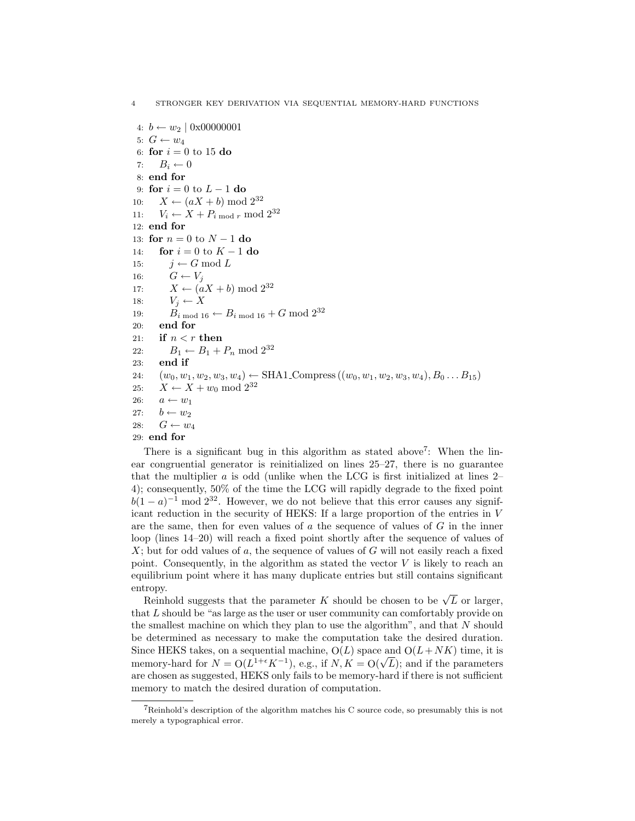4:  $b \leftarrow w_2 \mid 0 \times 00000001$ 5:  $G \leftarrow w_4$ 6: for  $i = 0$  to 15 do 7:  $B_i \leftarrow 0$ 8: end for 9: for  $i = 0$  to  $L - 1$  do<br>10:  $X \leftarrow (aX + b) \mod$ 10:  $X \leftarrow (aX + b) \mod 2^{32}$ <br>
11:  $V_i \leftarrow X + P_{i \mod r} \mod 2^{32}$  $V_i \leftarrow X + P_i \mod r \mod 2^{32}$ 12: end for 13: for  $n = 0$  to  $N - 1$  do<br>14: for  $i = 0$  to  $K - 1$  d 14: **for**  $i = 0$  to  $K - 1$  **do**<br>15:  $i \leftarrow G \mod L$ 15:  $j \leftarrow G \mod L$ <br>16:  $G \leftarrow V_i$ 16:  $G \leftarrow V_j$ <br>17:  $X \leftarrow (a)$ 17:  $X \leftarrow (aX + b) \mod 2^{32}$ <br>
18:  $V_i \leftarrow X$ 18:  $V_j \leftarrow X$ <br>19:  $B_{i \mod 10}$ 19:  $B_{i \mod 16} \leftarrow B_{i \mod 16} + G \mod 2^{32}$ <br>20: **end for** end for 21: if  $n < r$  then 22:  $B_1 \leftarrow B_1 + P_n \mod 2^{32}$ <br>23: **end if** end if 24:  $(w_0, w_1, w_2, w_3, w_4) \leftarrow \text{SHA1\_Compress} ((w_0, w_1, w_2, w_3, w_4), B_0 \dots B_{15})$ <br>
25:  $X \leftarrow X + w_0 \mod 2^{32}$ 25:  $X \leftarrow X + w_0 \mod 2^{32}$ <br>26:  $a \leftarrow w_1$ 26:  $a \leftarrow w_1$ <br>27:  $b \leftarrow w_2$ 27:  $b \leftarrow w_2$ <br>
28:  $G \leftarrow w$  $G \leftarrow w_4$ 29: end for

There is a significant bug in this algorithm as stated above<sup>7</sup>: When the linear congruential generator is reinitialized on lines 25–27, there is no guarantee that the multiplier  $a$  is odd (unlike when the LCG is first initialized at lines  $2-$ 4); consequently, 50% of the time the LCG will rapidly degrade to the fixed point  $b(1-a)^{-1}$  mod  $2^{32}$ . However, we do not believe that this error causes any significant reduction in the security of HEKS: If a large proportion of the entries in V are the same, then for even values of  $a$  the sequence of values of  $G$  in the inner loop (lines 14–20) will reach a fixed point shortly after the sequence of values of  $X$ ; but for odd values of a, the sequence of values of G will not easily reach a fixed point. Consequently, in the algorithm as stated the vector  $V$  is likely to reach an equilibrium point where it has many duplicate entries but still contains significant entropy.

Reinhold suggests that the parameter K should be chosen to be  $\sqrt{L}$  or larger, that L should be "as large as the user or user community can comfortably provide on the smallest machine on which they plan to use the algorithm", and that N should be determined as necessary to make the computation take the desired duration. Since HEKS takes, on a sequential machine,  $O(L)$  space and  $O(L+ NK)$  time, it is memory-hard for  $N = O(L^{1+\epsilon}K^{-1})$ , e.g., if  $N, K = O(\sqrt{L})$ ; and if the parameters are chosen as suggested, HEKS only fails to be memory-hard if there is not sufficient memory to match the desired duration of computation.

 $7$ Reinhold's description of the algorithm matches his C source code, so presumably this is not merely a typographical error.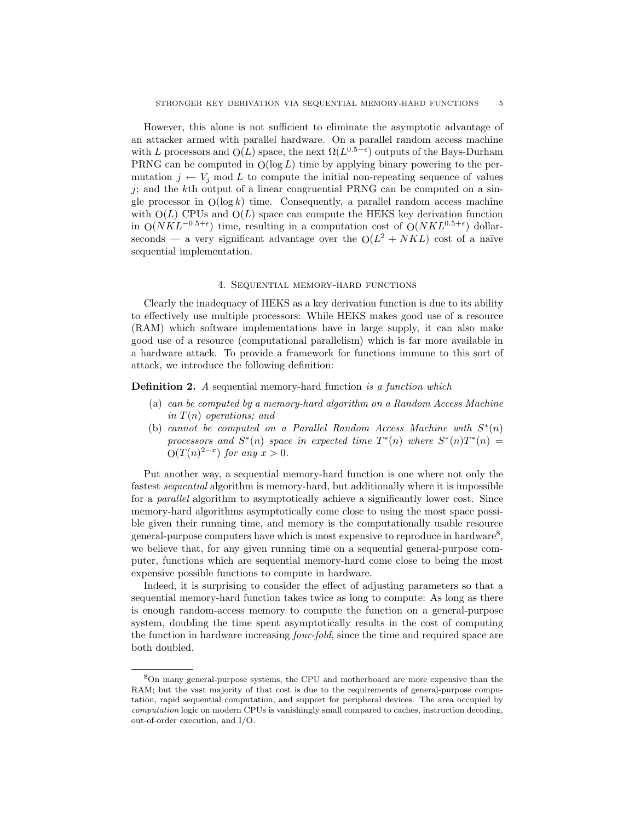However, this alone is not sufficient to eliminate the asymptotic advantage of an attacker armed with parallel hardware. On a parallel random access machine with L processors and  $O(L)$  space, the next  $\Omega(L^{0.5-\epsilon})$  outputs of the Bays-Durham PRNG can be computed in  $O(\log L)$  time by applying binary powering to the permutation  $j \leftarrow V_j \mod L$  to compute the initial non-repeating sequence of values  $j$ ; and the kth output of a linear congruential PRNG can be computed on a single processor in  $O(\log k)$  time. Consequently, a parallel random access machine with  $O(L)$  CPUs and  $O(L)$  space can compute the HEKS key derivation function in  $O(NKL^{-0.5+\epsilon})$  time, resulting in a computation cost of  $O(NKL^{0.5+\epsilon})$  dollarseconds — a very significant advantage over the  $O(L^2 + NKL)$  cost of a naïve sequential implementation.

## 4. Sequential memory-hard functions

Clearly the inadequacy of HEKS as a key derivation function is due to its ability to effectively use multiple processors: While HEKS makes good use of a resource (RAM) which software implementations have in large supply, it can also make good use of a resource (computational parallelism) which is far more available in a hardware attack. To provide a framework for functions immune to this sort of attack, we introduce the following definition:

Definition 2. A sequential memory-hard function is a function which

- (a) can be computed by a memory-hard algorithm on a Random Access Machine in  $T(n)$  operations; and
- (b) cannot be computed on a Parallel Random Access Machine with  $S^*(n)$ processors and  $S^*(n)$  space in expected time  $T^*(n)$  where  $S^*(n)T^*(n) =$  $O(T(n)^{2-x})$  for any  $x > 0$ .

Put another way, a sequential memory-hard function is one where not only the fastest sequential algorithm is memory-hard, but additionally where it is impossible for a parallel algorithm to asymptotically achieve a significantly lower cost. Since memory-hard algorithms asymptotically come close to using the most space possible given their running time, and memory is the computationally usable resource general-purpose computers have which is most expensive to reproduce in hardware<sup>8</sup>, we believe that, for any given running time on a sequential general-purpose computer, functions which are sequential memory-hard come close to being the most expensive possible functions to compute in hardware.

Indeed, it is surprising to consider the effect of adjusting parameters so that a sequential memory-hard function takes twice as long to compute: As long as there is enough random-access memory to compute the function on a general-purpose system, doubling the time spent asymptotically results in the cost of computing the function in hardware increasing four-fold, since the time and required space are both doubled.

<sup>8</sup>On many general-purpose systems, the CPU and motherboard are more expensive than the RAM; but the vast majority of that cost is due to the requirements of general-purpose computation, rapid sequential computation, and support for peripheral devices. The area occupied by *computation* logic on modern CPUs is vanishingly small compared to caches, instruction decoding, out-of-order execution, and I/O.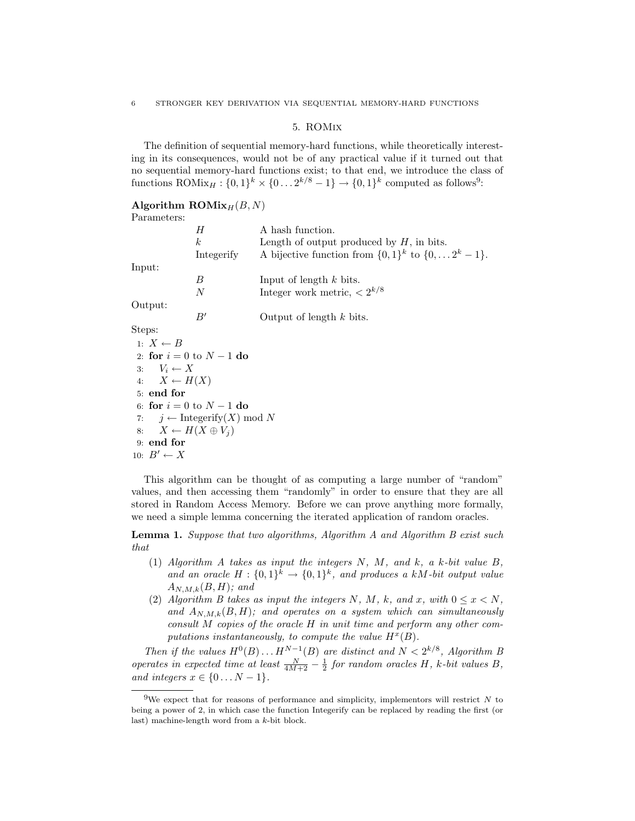### 5. ROMix

The definition of sequential memory-hard functions, while theoretically interesting in its consequences, would not be of any practical value if it turned out that no sequential memory-hard functions exist; to that end, we introduce the class of functions ROMix<sub>H</sub>:  $\{0,1\}^k \times \{0...2^{k/8}-1\} \rightarrow \{0,1\}^k$  computed as follows<sup>9</sup>:

## Algorithm  $\text{ROMix}_H(B, N)$

| Parameters: |                |                                                                 |
|-------------|----------------|-----------------------------------------------------------------|
|             | Η              | A hash function.                                                |
|             | k <sub>i</sub> | Length of output produced by $H$ , in bits.                     |
|             | Integerify     | A bijective function from $\{0,1\}^k$ to $\{0,\ldots 2^k-1\}$ . |
| Input:      |                |                                                                 |
|             | B              | Input of length $k$ bits.                                       |
|             | N              | Integer work metric, $\langle 2^{k/8} \rangle$                  |
| Output:     |                |                                                                 |
|             | B'             | Output of length $k$ bits.                                      |

Steps:

1:  $X \leftarrow B$ 2: for  $i = 0$  to  $N - 1$  do<br>3:  $V_i \leftarrow X$ 3:  $V_i \leftarrow X$ <br>4:  $X \leftarrow H$  $X \leftarrow H(X)$ 5: end for 6: **for**  $i = 0$  to  $N - 1$  **do**<br>7:  $i \leftarrow$  Integerify(X) m 7:  $j \leftarrow \text{Integerify}(X) \text{ mod } N$ <br>8:  $X \leftarrow H(X \oplus V_i)$  $X \leftarrow H(X \oplus V_i)$ 9: end for 10:  $B' \leftarrow X$ 

This algorithm can be thought of as computing a large number of "random" values, and then accessing them "randomly" in order to ensure that they are all stored in Random Access Memory. Before we can prove anything more formally, we need a simple lemma concerning the iterated application of random oracles.

Lemma 1. Suppose that two algorithms, Algorithm A and Algorithm B exist such that

- (1) Algorithm A takes as input the integers N, M, and k, a k-bit value B, and an oracle  $H: \{0,1\}^k \to \{0,1\}^k$ , and produces a kM-bit output value  $A_{N,M,k}(B,H);$  and
- (2) Algorithm B takes as input the integers N, M, k, and x, with  $0 \le x \le N$ , and  $A_{N,M,k}(B,H)$ ; and operates on a system which can simultaneously consult M copies of the oracle H in unit time and perform any other computations instantaneously, to compute the value  $H^x(B)$ .

Then if the values  $H^0(B) \dots H^{N-1}(B)$  are distinct and  $N < 2^{k/8}$ , Algorithm B operates in expected time at least  $\frac{N}{4M+2} - \frac{1}{2}$  for random oracles H, k-bit values B, and integers  $x \in \{0...N-1\}$ .

<sup>&</sup>lt;sup>9</sup>We expect that for reasons of performance and simplicity, implementors will restrict  $N$  to being a power of 2, in which case the function Integerify can be replaced by reading the first (or last) machine-length word from a k-bit block.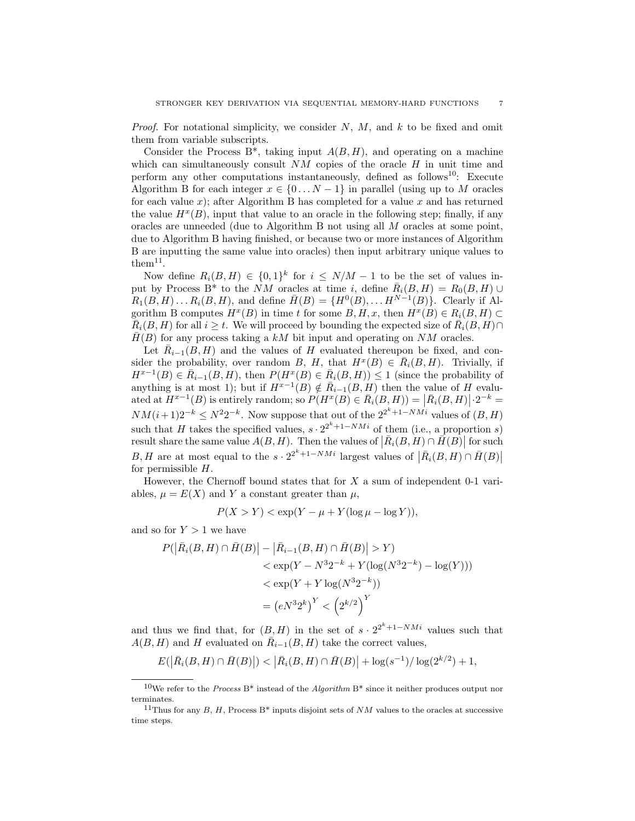*Proof.* For notational simplicity, we consider  $N$ ,  $M$ , and  $k$  to be fixed and omit them from variable subscripts.

Consider the Process B<sup>\*</sup>, taking input  $A(B, H)$ , and operating on a machine which can simultaneously consult  $NM$  copies of the oracle  $H$  in unit time and perform any other computations instantaneously, defined as follows<sup>10</sup>: Execute Algorithm B for each integer  $x \in \{0...N-1\}$  in parallel (using up to M oracles for each value  $x$ ); after Algorithm B has completed for a value  $x$  and has returned the value  $H^x(B)$ , input that value to an oracle in the following step; finally, if any oracles are unneeded (due to Algorithm B not using all M oracles at some point, due to Algorithm B having finished, or because two or more instances of Algorithm B are inputting the same value into oracles) then input arbitrary unique values to  $\text{them}^{11}$ .

Now define  $R_i(B, H) \in \{0, 1\}^k$  for  $i \leq N/M - 1$  to be the set of values input by Process B<sup>\*</sup> to the NM oracles at time i, define  $\bar{R}_i(B, H) = R_0(B, H) \cup$  $R_1(B,H) \ldots R_i(B,H)$ , and define  $\overline{H}(B) = {H^0(B), \ldots H^{N-1}(B)}$ . Clearly if Algorithm B computes  $H^x(B)$  in time t for some  $B, H, x$ , then  $H^x(B) \in R_i(B, H) \subset$  $\overline{R}_i(B, H)$  for all  $i \geq t$ . We will proceed by bounding the expected size of  $\overline{R}_i(B, H) \cap$  $H(B)$  for any process taking a kM bit input and operating on NM oracles.

Let  $\overline{R}_{i-1}(B, H)$  and the values of H evaluated thereupon be fixed, and consider the probability, over random B, H, that  $H^x(B) \in \overline{R}_i(B,H)$ . Trivially, if  $H^{x-1}(B) \in \overline{R}_{i-1}(B, H)$ , then  $P(H^x(B) \in \overline{R}_{i}(B, H)) \leq 1$  (since the probability of anything is at most 1); but if  $H^{x-1}(B) \notin \overline{R}_{i-1}(B, H)$  then the value of H evaluated at  $H^{x-1}(B)$  is entirely random; so  $P(H^x(B) \in \overline{R}_i(B, H)) = |\overline{R}_i(B, H)| \cdot 2^{-k} =$  $NM(i+1)2^{-k} \leq N^2 2^{-k}$ . Now suppose that out of the  $2^{2^k+1-NMi}$  values of  $(B, H)$ such that H takes the specified values,  $s \cdot 2^{2^k+1-NMi}$  of them (i.e., a proportion s) result share the same value  $A(B, H)$ . Then the values of  $\left| \bar{R}_i(B, H) \cap \bar{H}(B) \right|$  for such B, H are at most equal to the  $s \cdot 2^{2^k+1-NMi}$  largest values of  $\left| \overline{R}_i(B,H) \cap \overline{H}(B) \right|$ for permissible  $H$ .

However, the Chernoff bound states that for  $X$  a sum of independent 0-1 variables,  $\mu = E(X)$  and Y a constant greater than  $\mu$ ,

$$
P(X > Y) < \exp(Y - \mu + Y(\log \mu - \log Y)),
$$

and so for  $Y > 1$  we have

$$
P(|\bar{R}_{i}(B, H) \cap \bar{H}(B)| - |\bar{R}_{i-1}(B, H) \cap \bar{H}(B)| > Y)
$$
  

$$
< \exp(Y - N^{3}2^{-k} + Y(\log(N^{3}2^{-k}) - \log(Y)))
$$
  

$$
< \exp(Y + Y \log(N^{3}2^{-k}))
$$
  

$$
= (eN^{3}2^{k})^{Y} < (2^{k/2})^{Y}
$$

and thus we find that, for  $(B,H)$  in the set of  $s \cdot 2^{2^k+1-NM}$  values such that  $A(B, H)$  and H evaluated on  $\overline{R}_{i-1}(B, H)$  take the correct values,

$$
E(|\bar{R}_i(B, H) \cap \bar{H}(B)|) < |\bar{R}_i(B, H) \cap \bar{H}(B)| + \log(s^{-1})/\log(2^{k/2}) + 1,
$$

<sup>10</sup>We refer to the *Process* B\* instead of the *Algorithm* B\* since it neither produces output nor terminates.

<sup>&</sup>lt;sup>11</sup>Thus for any B, H, Process B<sup>\*</sup> inputs disjoint sets of NM values to the oracles at successive time steps.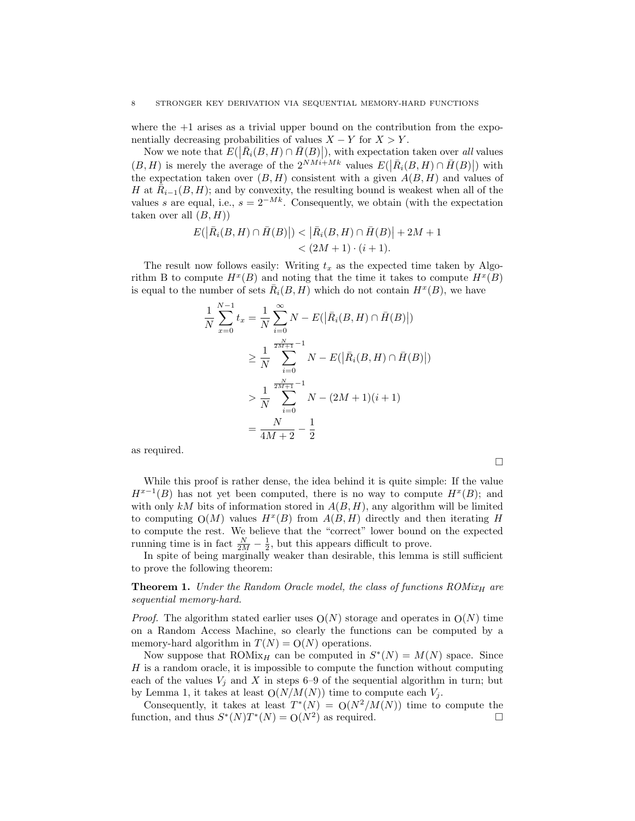where the  $+1$  arises as a trivial upper bound on the contribution from the exponentially decreasing probabilities of values  $X - Y$  for  $X > Y$ .

Now we note that  $E(|\bar{R}_i(B, H) \cap \bar{H}(B)|)$ , with expectation taken over all values  $(B, H)$  is merely the average of the  $2^{NM_i+Mk}$  values  $E(|\bar{R}_i(B, H) \cap \bar{H}(B)|)$  with the expectation taken over  $(B, H)$  consistent with a given  $A(B, H)$  and values of H at  $\overline{R}_{i-1}(B, H)$ ; and by convexity, the resulting bound is weakest when all of the values s are equal, i.e.,  $s = 2^{-Mk}$ . Consequently, we obtain (with the expectation taken over all  $(B, H)$ 

$$
E(|\bar{R}_{i}(B, H) \cap \bar{H}(B)|) < |\bar{R}_{i}(B, H) \cap \bar{H}(B)| + 2M + 1 < (2M + 1) \cdot (i + 1).
$$

The result now follows easily: Writing  $t_x$  as the expected time taken by Algorithm B to compute  $H^x(B)$  and noting that the time it takes to compute  $H^x(B)$ is equal to the number of sets  $\overline{R}_i(B, H)$  which do not contain  $H^x(B)$ , we have

$$
\frac{1}{N} \sum_{x=0}^{N-1} t_x = \frac{1}{N} \sum_{i=0}^{\infty} N - E(|\bar{R}_i(B, H) \cap \bar{H}(B)|)
$$
  
\n
$$
\geq \frac{1}{N} \sum_{i=0}^{\frac{2N}{2M+1}-1} N - E(|\bar{R}_i(B, H) \cap \bar{H}(B)|)
$$
  
\n
$$
> \frac{1}{N} \sum_{i=0}^{\frac{2N}{2M+1}-1} N - (2M+1)(i+1)
$$
  
\n
$$
= \frac{N}{4M+2} - \frac{1}{2}
$$

as required.

While this proof is rather dense, the idea behind it is quite simple: If the value  $H^{x-1}(B)$  has not yet been computed, there is no way to compute  $H^x(B)$ ; and with only kM bits of information stored in  $A(B, H)$ , any algorithm will be limited to computing  $O(M)$  values  $H^x(B)$  from  $A(B, H)$  directly and then iterating H to compute the rest. We believe that the "correct" lower bound on the expected running time is in fact  $\frac{N}{2M} - \frac{1}{2}$ , but this appears difficult to prove.

 $\Box$ 

In spite of being marginally weaker than desirable, this lemma is still sufficient to prove the following theorem:

**Theorem 1.** Under the Random Oracle model, the class of functions  $ROMix_H$  are sequential memory-hard.

*Proof.* The algorithm stated earlier uses  $O(N)$  storage and operates in  $O(N)$  time on a Random Access Machine, so clearly the functions can be computed by a memory-hard algorithm in  $T(N) = O(N)$  operations.

Now suppose that ROMix<sub>H</sub> can be computed in  $S^*(N) = M(N)$  space. Since H is a random oracle, it is impossible to compute the function without computing each of the values  $V_i$  and X in steps 6–9 of the sequential algorithm in turn; but by Lemma 1, it takes at least  $O(N/M(N))$  time to compute each  $V_i$ .

Consequently, it takes at least  $T^*(N) = O(N^2/M(N))$  time to compute the function, and thus  $S^*(N)T^*(N) = O(N^2)$  as required.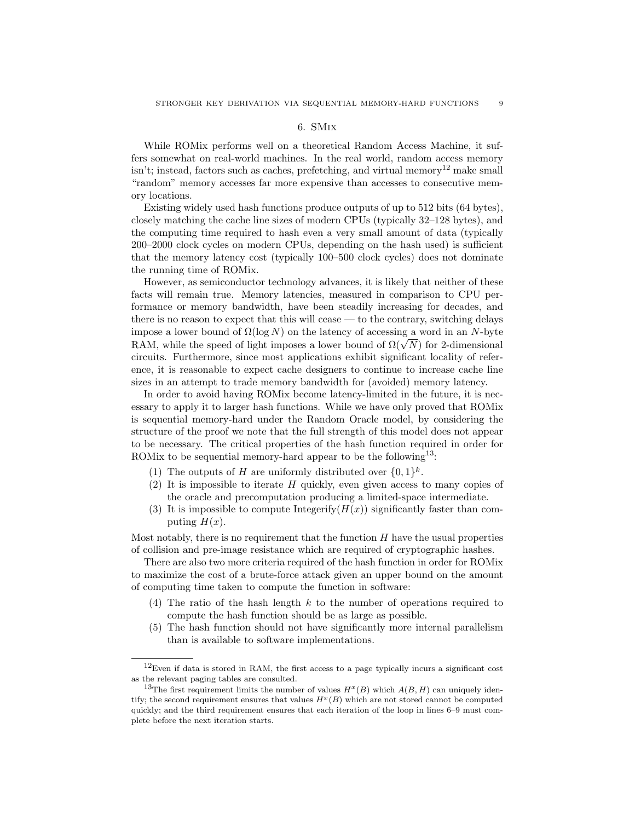## 6. SMix

While ROMix performs well on a theoretical Random Access Machine, it suffers somewhat on real-world machines. In the real world, random access memory  $\sin$ <sup>t</sup>; instead, factors such as caches, prefetching, and virtual memory<sup>12</sup> make small "random" memory accesses far more expensive than accesses to consecutive memory locations.

Existing widely used hash functions produce outputs of up to 512 bits (64 bytes), closely matching the cache line sizes of modern CPUs (typically 32–128 bytes), and the computing time required to hash even a very small amount of data (typically 200–2000 clock cycles on modern CPUs, depending on the hash used) is sufficient that the memory latency cost (typically 100–500 clock cycles) does not dominate the running time of ROMix.

However, as semiconductor technology advances, it is likely that neither of these facts will remain true. Memory latencies, measured in comparison to CPU performance or memory bandwidth, have been steadily increasing for decades, and there is no reason to expect that this will cease — to the contrary, switching delays impose a lower bound of  $\Omega(\log N)$  on the latency of accessing a word in an N-byte RAM, while the speed of light imposes a lower bound of  $\Omega(\sqrt{N})$  for 2-dimensional circuits. Furthermore, since most applications exhibit significant locality of reference, it is reasonable to expect cache designers to continue to increase cache line sizes in an attempt to trade memory bandwidth for (avoided) memory latency.

In order to avoid having ROMix become latency-limited in the future, it is necessary to apply it to larger hash functions. While we have only proved that ROMix is sequential memory-hard under the Random Oracle model, by considering the structure of the proof we note that the full strength of this model does not appear to be necessary. The critical properties of the hash function required in order for ROMix to be sequential memory-hard appear to be the following<sup>13</sup>:

- (1) The outputs of H are uniformly distributed over  $\{0,1\}^k$ .
- (2) It is impossible to iterate  $H$  quickly, even given access to many copies of the oracle and precomputation producing a limited-space intermediate.
- (3) It is impossible to compute Integerify $(H(x))$  significantly faster than computing  $H(x)$ .

Most notably, there is no requirement that the function  $H$  have the usual properties of collision and pre-image resistance which are required of cryptographic hashes.

There are also two more criteria required of the hash function in order for ROMix to maximize the cost of a brute-force attack given an upper bound on the amount of computing time taken to compute the function in software:

- (4) The ratio of the hash length  $k$  to the number of operations required to compute the hash function should be as large as possible.
- (5) The hash function should not have significantly more internal parallelism than is available to software implementations.

 $12$ Even if data is stored in RAM, the first access to a page typically incurs a significant cost as the relevant paging tables are consulted.

<sup>&</sup>lt;sup>13</sup>The first requirement limits the number of values  $H<sup>x</sup>(B)$  which  $A(B, H)$  can uniquely identify; the second requirement ensures that values  $H^x(B)$  which are not stored cannot be computed quickly; and the third requirement ensures that each iteration of the loop in lines 6–9 must complete before the next iteration starts.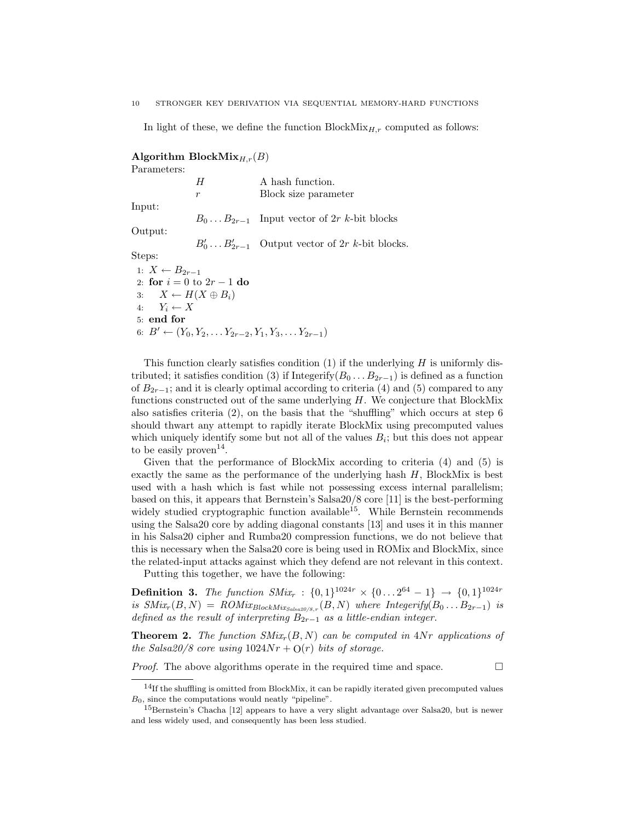In light of these, we define the function  $BlockMix_{H,r}$  computed as follows:

Algorithm Block $\text{Mix}_{H,r}(B)$ 

Parameters:

|                                   | H                             | A hash function.                                                          |
|-----------------------------------|-------------------------------|---------------------------------------------------------------------------|
|                                   | r                             | Block size parameter                                                      |
| Input:                            |                               |                                                                           |
|                                   |                               | $B_0 \dots B_{2r-1}$ Input vector of 2r k-bit blocks                      |
| Output:                           |                               |                                                                           |
|                                   |                               | $B'_0 \dots B'_{2r-1}$ Output vector of $2r$ k-bit blocks.                |
| Steps:                            |                               |                                                                           |
| 1: $X \leftarrow B_{2r-1}$        |                               |                                                                           |
|                                   | 2: for $i = 0$ to $2r - 1$ do |                                                                           |
| 3: $X \leftarrow H(X \oplus B_i)$ |                               |                                                                           |
| 4: $Y_i \leftarrow X$             |                               |                                                                           |
| $5:$ end for                      |                               |                                                                           |
|                                   |                               | 6: $B' \leftarrow (Y_0, Y_2, \ldots Y_{2r-2}, Y_1, Y_3, \ldots Y_{2r-1})$ |

This function clearly satisfies condition (1) if the underlying  $H$  is uniformly distributed; it satisfies condition (3) if Integerify( $B_0 \ldots B_{2r-1}$ ) is defined as a function of  $B_{2r-1}$ ; and it is clearly optimal according to criteria (4) and (5) compared to any functions constructed out of the same underlying  $H$ . We conjecture that BlockMix also satisfies criteria  $(2)$ , on the basis that the "shuffling" which occurs at step 6 should thwart any attempt to rapidly iterate BlockMix using precomputed values which uniquely identify some but not all of the values  $B_i$ ; but this does not appear to be easily  $\text{proven}^{14}$ .

Given that the performance of BlockMix according to criteria (4) and (5) is exactly the same as the performance of the underlying hash H, BlockMix is best used with a hash which is fast while not possessing excess internal parallelism; based on this, it appears that Bernstein's Salsa20/8 core [11] is the best-performing widely studied cryptographic function available<sup>15</sup>. While Bernstein recommends using the Salsa20 core by adding diagonal constants [13] and uses it in this manner in his Salsa20 cipher and Rumba20 compression functions, we do not believe that this is necessary when the Salsa20 core is being used in ROMix and BlockMix, since the related-input attacks against which they defend are not relevant in this context.

Putting this together, we have the following:

**Definition 3.** The function  $SMix_r$  :  $\{0, 1\}^{1024r} \times \{0 \dots 2^{64} - 1\} \rightarrow \{0, 1\}^{1024r}$ is  $SMix_r(B, N) = \text{ROMix}_{BlockMix_{Salsa20/S, r}}(B, N)$  where  $Integerify(B_0...B_{2r-1})$  is defined as the result of interpreting  $B_{2r-1}$  as a little-endian integer.

**Theorem 2.** The function  $SMix_r(B, N)$  can be computed in  $4Nr$  applications of the Salsa20/8 core using  $1024Nr + O(r)$  bits of storage.

*Proof.* The above algorithms operate in the required time and space.  $\Box$ 

 $14$ If the shuffling is omitted from BlockMix, it can be rapidly iterated given precomputed values  $B_0$ , since the computations would neatly "pipeline".

<sup>&</sup>lt;sup>15</sup>Bernstein's Chacha [12] appears to have a very slight advantage over Salsa20, but is newer and less widely used, and consequently has been less studied.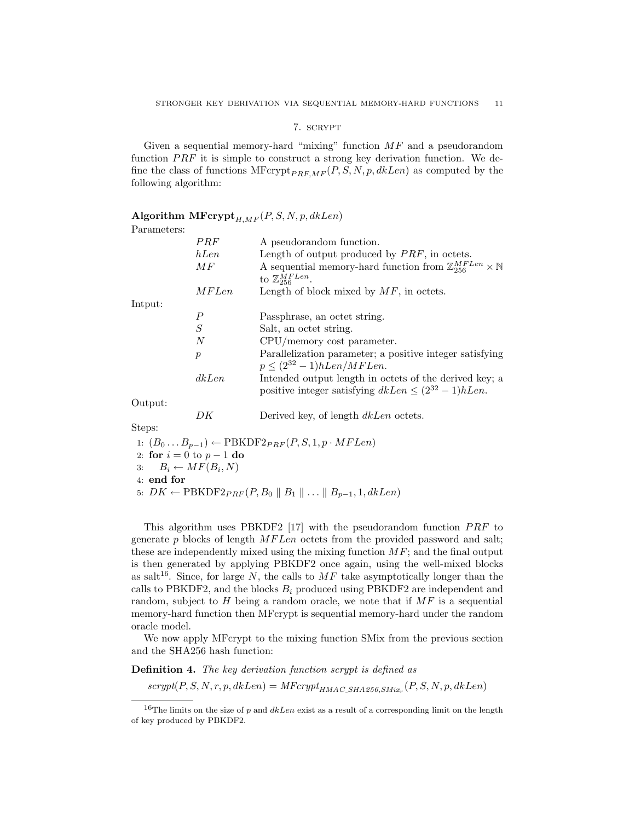## 7. scrypt

Given a sequential memory-hard "mixing" function  $MF$  and a pseudorandom function  $PRF$  it is simple to construct a strong key derivation function. We define the class of functions  $MFcrypt_{PRE,MF}(P, S, N, p, dklen)$  as computed by the following algorithm:

## Algorithm  $\text{MFcrypt}_{H,MF}(P, S, N, p, d k Len)$

Parameters:

|         | PRF           | A pseudorandom function.                                                                                               |  |  |  |
|---------|---------------|------------------------------------------------------------------------------------------------------------------------|--|--|--|
|         | hLen          | Length of output produced by $PRF$ , in octets.                                                                        |  |  |  |
|         | МF            | A sequential memory-hard function from $\mathbb{Z}_{256}^{MFLen} \times \mathbb{N}$<br>to $\mathbb{Z}_{256}^{MFLen}$ . |  |  |  |
|         | <i>MFLen</i>  | Length of block mixed by $MF$ , in octets.                                                                             |  |  |  |
| Intput: |               |                                                                                                                        |  |  |  |
|         | Р             | Passphrase, an octet string.                                                                                           |  |  |  |
|         | S             | Salt, an octet string.                                                                                                 |  |  |  |
|         | N             | CPU/memory cost parameter.                                                                                             |  |  |  |
|         | $\mathcal{p}$ | Parallelization parameter; a positive integer satisfying<br>$p \leq (2^{32} - 1)hLen/MFLen.$                           |  |  |  |
|         | dkLen         | Intended output length in octets of the derived key; a<br>positive integer satisfying $dkLen \leq (2^{32} - 1)hLen$ .  |  |  |  |
|         |               |                                                                                                                        |  |  |  |

Output:

DK Derived key, of length  $dkLen$  octets.

Steps:

1:  $(B_0 \dots B_{p-1})$  ← PBKDF2 $_{PRF}(P, S, 1, p \cdot MFLen)$ 2: for  $i = 0$  to  $p - 1$  do<br>3:  $B_i \leftarrow MF(B_i, N)$ 3:  $B_i \leftarrow MF(B_i, N)$ 4: end for

5:  $DK \leftarrow \text{PBKDF2}_{PRF}(P, B_0 \parallel B_1 \parallel \ldots \parallel B_{p-1}, 1, dkLen)$ 

This algorithm uses PBKDF2 [17] with the pseudorandom function  $PRF$  to generate  $p$  blocks of length  $MFLen$  octets from the provided password and salt; these are independently mixed using the mixing function  $MF$ ; and the final output is then generated by applying PBKDF2 once again, using the well-mixed blocks as salt<sup>16</sup>. Since, for large N, the calls to  $MF$  take asymptotically longer than the calls to PBKDF2, and the blocks  $B_i$  produced using PBKDF2 are independent and random, subject to H being a random oracle, we note that if  $MF$  is a sequential memory-hard function then MFcrypt is sequential memory-hard under the random oracle model.

We now apply MFcrypt to the mixing function SMix from the previous section and the SHA256 hash function:

Definition 4. The key derivation function scrypt is defined as

 $scrypt(P, S, N, r, p, d\&Len) = MFcrypt_{HMAC\_SHA256, SMix_r}(P, S, N, p, d\&Len)$ 

<sup>&</sup>lt;sup>16</sup>The limits on the size of p and  $dkLen$  exist as a result of a corresponding limit on the length of key produced by PBKDF2.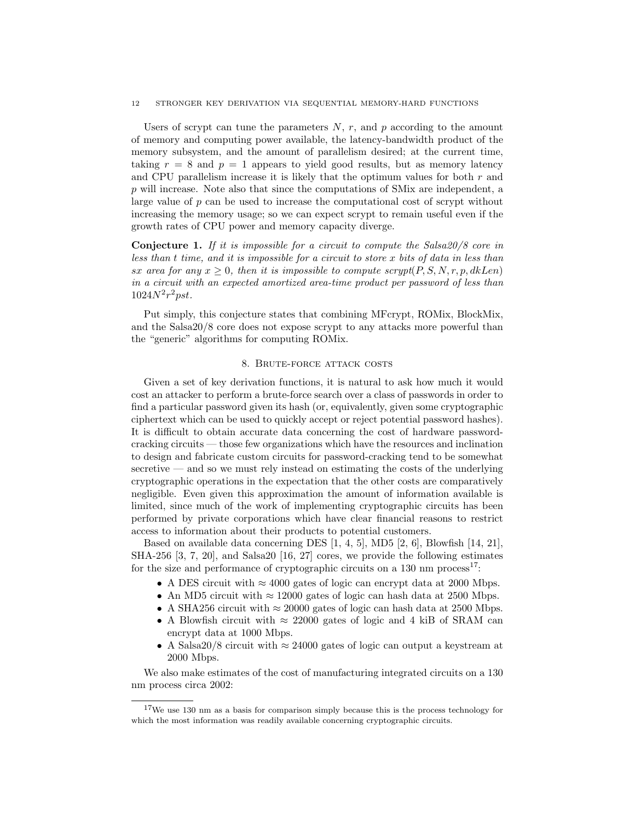#### 12 STRONGER KEY DERIVATION VIA SEQUENTIAL MEMORY-HARD FUNCTIONS

Users of scrypt can tune the parameters  $N, r$ , and p according to the amount of memory and computing power available, the latency-bandwidth product of the memory subsystem, and the amount of parallelism desired; at the current time, taking  $r = 8$  and  $p = 1$  appears to yield good results, but as memory latency and CPU parallelism increase it is likely that the optimum values for both  $r$  and p will increase. Note also that since the computations of SMix are independent, a large value of  $p$  can be used to increase the computational cost of scrypt without increasing the memory usage; so we can expect scrypt to remain useful even if the growth rates of CPU power and memory capacity diverge.

**Conjecture 1.** If it is impossible for a circuit to compute the Salsa20/8 core in less than t time, and it is impossible for a circuit to store x bits of data in less than sx area for any  $x > 0$ , then it is impossible to compute scrypt(P, S, N, r, p, dkLen) in a circuit with an expected amortized area-time product per password of less than  $1024N^{2}r^{2}pst.$ 

Put simply, this conjecture states that combining MFcrypt, ROMix, BlockMix, and the Salsa20/8 core does not expose scrypt to any attacks more powerful than the "generic" algorithms for computing ROMix.

## 8. Brute-force attack costs

Given a set of key derivation functions, it is natural to ask how much it would cost an attacker to perform a brute-force search over a class of passwords in order to find a particular password given its hash (or, equivalently, given some cryptographic ciphertext which can be used to quickly accept or reject potential password hashes). It is difficult to obtain accurate data concerning the cost of hardware passwordcracking circuits — those few organizations which have the resources and inclination to design and fabricate custom circuits for password-cracking tend to be somewhat secretive — and so we must rely instead on estimating the costs of the underlying cryptographic operations in the expectation that the other costs are comparatively negligible. Even given this approximation the amount of information available is limited, since much of the work of implementing cryptographic circuits has been performed by private corporations which have clear financial reasons to restrict access to information about their products to potential customers.

Based on available data concerning DES [1, 4, 5], MD5 [2, 6], Blowfish [14, 21], SHA-256 [3, 7, 20], and Salsa20 [16, 27] cores, we provide the following estimates for the size and performance of cryptographic circuits on a 130 nm process<sup>17</sup>:

- A DES circuit with  $\approx 4000$  gates of logic can encrypt data at 2000 Mbps.
- An MD5 circuit with  $\approx 12000$  gates of logic can hash data at 2500 Mbps.
- A SHA256 circuit with  $\approx 20000$  gates of logic can hash data at 2500 Mbps.
- A Blowfish circuit with  $\approx 22000$  gates of logic and 4 kiB of SRAM can encrypt data at 1000 Mbps.
- A Salsa 20/8 circuit with  $\approx 24000$  gates of logic can output a keystream at 2000 Mbps.

We also make estimates of the cost of manufacturing integrated circuits on a 130 nm process circa 2002:

<sup>17</sup>We use 130 nm as a basis for comparison simply because this is the process technology for which the most information was readily available concerning cryptographic circuits.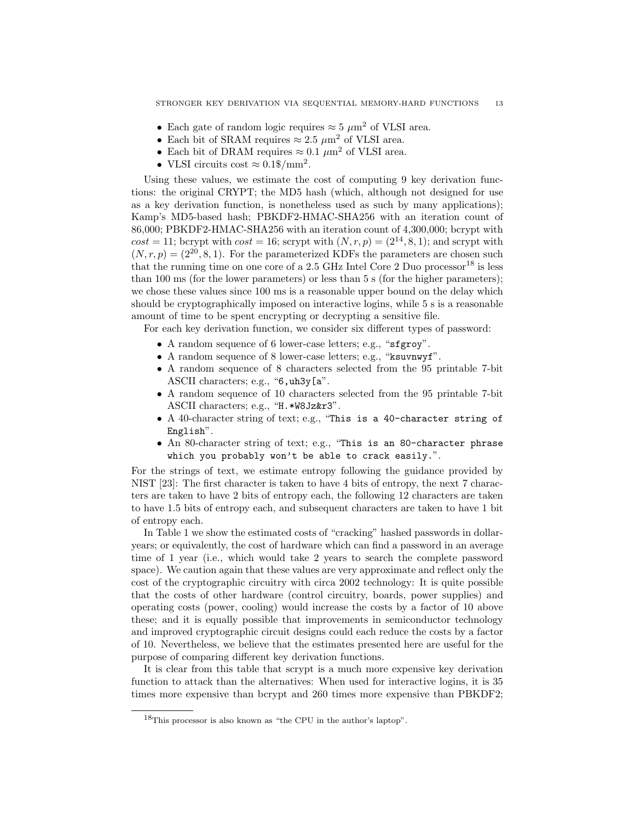- Each gate of random logic requires  $\approx 5 \ \mu \text{m}^2$  of VLSI area.
- Each bit of SRAM requires  $\approx 2.5 \ \mu \text{m}^2$  of VLSI area.
- Each bit of DRAM requires  $\approx 0.1 \ \mu \text{m}^2$  of VLSI area.
- VLSI circuits cost  $\approx 0.1\$/\text{mm}^2$ .

Using these values, we estimate the cost of computing 9 key derivation functions: the original CRYPT; the MD5 hash (which, although not designed for use as a key derivation function, is nonetheless used as such by many applications); Kamp's MD5-based hash; PBKDF2-HMAC-SHA256 with an iteration count of 86,000; PBKDF2-HMAC-SHA256 with an iteration count of 4,300,000; bcrypt with  $cost = 11$ ; bcrypt with  $cost = 16$ ; scrypt with  $(N, r, p) = (2^{14}, 8, 1)$ ; and scrypt with  $(N, r, p) = (2^{20}, 8, 1)$ . For the parameterized KDFs the parameters are chosen such that the running time on one core of a 2.5 GHz Intel Core 2 Duo processor<sup>18</sup> is less than 100 ms (for the lower parameters) or less than 5 s (for the higher parameters); we chose these values since 100 ms is a reasonable upper bound on the delay which should be cryptographically imposed on interactive logins, while 5 s is a reasonable amount of time to be spent encrypting or decrypting a sensitive file.

For each key derivation function, we consider six different types of password:

- A random sequence of 6 lower-case letters; e.g., "sfgroy".
- A random sequence of 8 lower-case letters; e.g., "ksuvnwyf".
- A random sequence of 8 characters selected from the 95 printable 7-bit ASCII characters; e.g., "6, uh3y[a".
- A random sequence of 10 characters selected from the 95 printable 7-bit ASCII characters; e.g., "H.\*W8Jz&r3".
- A 40-character string of text; e.g., "This is a 40-character string of English".
- An 80-character string of text; e.g., "This is an 80-character phrase which you probably won't be able to crack easily.".

For the strings of text, we estimate entropy following the guidance provided by NIST [23]: The first character is taken to have 4 bits of entropy, the next 7 characters are taken to have 2 bits of entropy each, the following 12 characters are taken to have 1.5 bits of entropy each, and subsequent characters are taken to have 1 bit of entropy each.

In Table 1 we show the estimated costs of "cracking" hashed passwords in dollaryears; or equivalently, the cost of hardware which can find a password in an average time of 1 year (i.e., which would take 2 years to search the complete password space). We caution again that these values are very approximate and reflect only the cost of the cryptographic circuitry with circa 2002 technology: It is quite possible that the costs of other hardware (control circuitry, boards, power supplies) and operating costs (power, cooling) would increase the costs by a factor of 10 above these; and it is equally possible that improvements in semiconductor technology and improved cryptographic circuit designs could each reduce the costs by a factor of 10. Nevertheless, we believe that the estimates presented here are useful for the purpose of comparing different key derivation functions.

It is clear from this table that scrypt is a much more expensive key derivation function to attack than the alternatives: When used for interactive logins, it is 35 times more expensive than bcrypt and 260 times more expensive than PBKDF2;

<sup>18</sup>This processor is also known as "the CPU in the author's laptop".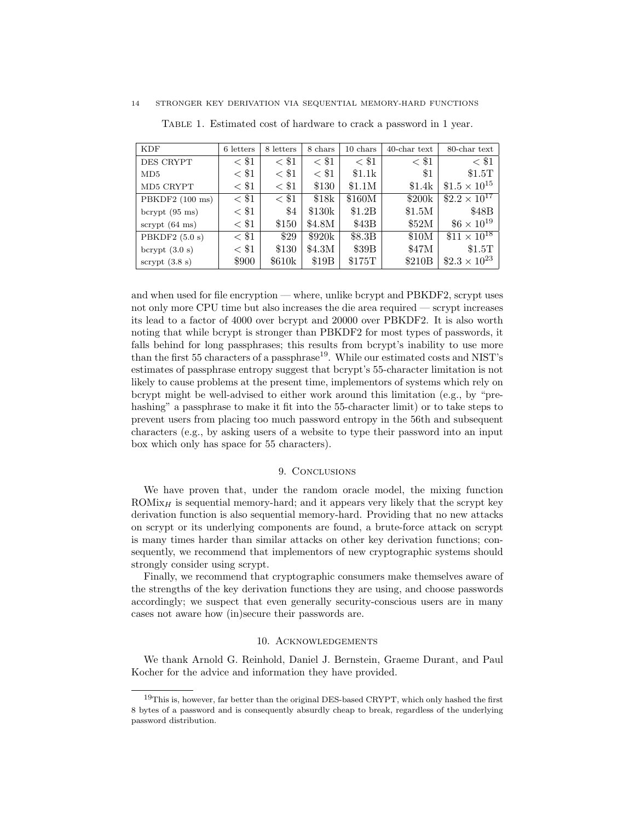| <b>KDF</b>               | 6 letters | 8 letters | 8 chars | 10 chars | $40$ -char text | 80-char text           |
|--------------------------|-----------|-----------|---------|----------|-----------------|------------------------|
| DES CRYPT                | $<$ \$1   | $<$ \$1   | $<$ \$1 | $<$ \$1  | $<\, 1$         | $<$ \$1                |
| MD5                      | $<$ \$1   | $<$ \$1   | $<$ \$1 | \$1.1k   | $\$1$           | \$1.5T                 |
| MD5 CRYPT                | $<$ \$1   | $<$ \$1   | \$130   | \$1.1M   | \$1.4k          | $$1.5 \times 10^{15}$  |
| PBKDF2 (100 ms)          | $<$ \$1   | $<$ \$1   | \$18k   | \$160M   | \$200k          | $$2.2 \times 10^{17}$  |
| bcrypt $(95 \text{ ms})$ | $<$ \$1   | \$4       | \$130k  | \$1.2B   | \$1.5M          | \$48B                  |
| scrypt $(64 \text{ ms})$ | $<$ \$1   | \$150     | \$4.8M  | \$43B    | \$52M           | $$6 \times 10^{19}$    |
| PBKDF2 $(5.0 s)$         | $<$ \$1   | \$29      | \$920k  | \$8.3B   | \$10M           | $$11 \times 10^{18}$   |
| bcrypt $(3.0 s)$         | $<$ \$1   | \$130     | \$4.3M  | \$39B    | \$47M           | \$1.5T                 |
| scrypt $(3.8 s)$         | \$900     | \$610k    | \$19B   | \$175T   | \$210B          | $$2.3 \times 10^{23}$$ |

Table 1. Estimated cost of hardware to crack a password in 1 year.

and when used for file encryption — where, unlike bcrypt and PBKDF2, scrypt uses not only more CPU time but also increases the die area required — scrypt increases its lead to a factor of 4000 over bcrypt and 20000 over PBKDF2. It is also worth noting that while bcrypt is stronger than PBKDF2 for most types of passwords, it falls behind for long passphrases; this results from bcrypt's inability to use more than the first 55 characters of a passphrase<sup>19</sup>. While our estimated costs and NIST's estimates of passphrase entropy suggest that bcrypt's 55-character limitation is not likely to cause problems at the present time, implementors of systems which rely on bcrypt might be well-advised to either work around this limitation (e.g., by "prehashing" a passphrase to make it fit into the 55-character limit) or to take steps to prevent users from placing too much password entropy in the 56th and subsequent characters (e.g., by asking users of a website to type their password into an input box which only has space for 55 characters).

#### 9. Conclusions

We have proven that, under the random oracle model, the mixing function ROM $i_{K_H}$  is sequential memory-hard; and it appears very likely that the scrypt key derivation function is also sequential memory-hard. Providing that no new attacks on scrypt or its underlying components are found, a brute-force attack on scrypt is many times harder than similar attacks on other key derivation functions; consequently, we recommend that implementors of new cryptographic systems should strongly consider using scrypt.

Finally, we recommend that cryptographic consumers make themselves aware of the strengths of the key derivation functions they are using, and choose passwords accordingly; we suspect that even generally security-conscious users are in many cases not aware how (in)secure their passwords are.

## 10. Acknowledgements

We thank Arnold G. Reinhold, Daniel J. Bernstein, Graeme Durant, and Paul Kocher for the advice and information they have provided.

 $19$ This is, however, far better than the original DES-based CRYPT, which only hashed the first 8 bytes of a password and is consequently absurdly cheap to break, regardless of the underlying password distribution.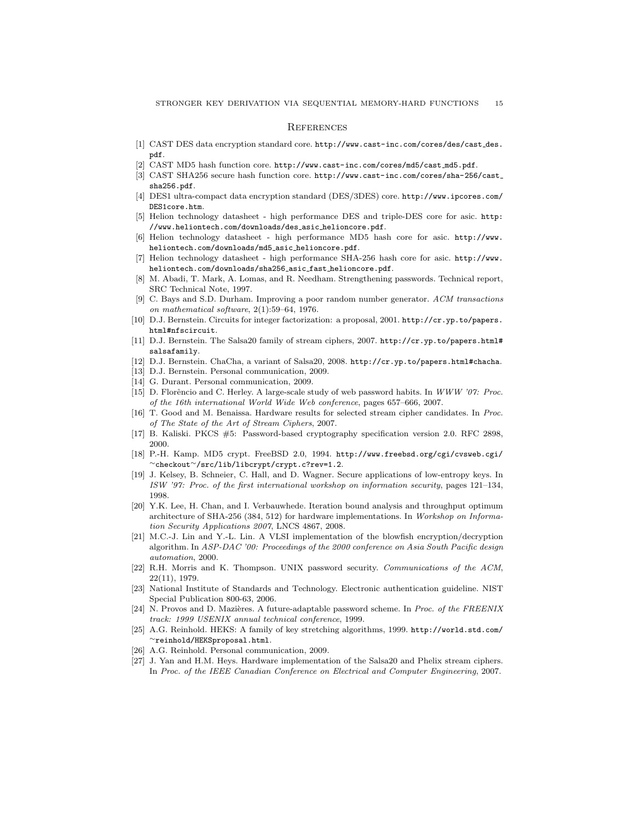#### **REFERENCES**

- [1] CAST DES data encryption standard core. http://www.cast-inc.com/cores/des/cast des. pdf.
- [2] CAST MD5 hash function core. http://www.cast-inc.com/cores/md5/cast md5.pdf.
- [3] CAST SHA256 secure hash function core. http://www.cast-inc.com/cores/sha-256/cast sha256.pdf.
- [4] DES1 ultra-compact data encryption standard (DES/3DES) core. http://www.ipcores.com/ DES1core.htm.
- [5] Helion technology datasheet high performance DES and triple-DES core for asic. http: //www.heliontech.com/downloads/des asic helioncore.pdf.
- [6] Helion technology datasheet high performance MD5 hash core for asic. http://www. heliontech.com/downloads/md5 asic helioncore.pdf.
- [7] Helion technology datasheet high performance SHA-256 hash core for asic. http://www. heliontech.com/downloads/sha256 asic fast helioncore.pdf.
- [8] M. Abadi, T. Mark, A. Lomas, and R. Needham. Strengthening passwords. Technical report, SRC Technical Note, 1997.
- [9] C. Bays and S.D. Durham. Improving a poor random number generator. *ACM transactions on mathematical software*, 2(1):59–64, 1976.
- [10] D.J. Bernstein. Circuits for integer factorization: a proposal, 2001. http://cr.yp.to/papers. html#nfscircuit.
- [11] D.J. Bernstein. The Salsa20 family of stream ciphers, 2007. http://cr.yp.to/papers.html# salsafamily.
- [12] D.J. Bernstein. ChaCha, a variant of Salsa20, 2008. http://cr.yp.to/papers.html#chacha.
- [13] D.J. Bernstein. Personal communication, 2009.
- [14] G. Durant. Personal communication, 2009.
- [15] D. Florêncio and C. Herley. A large-scale study of web password habits. In *WWW '07: Proc. of the 16th international World Wide Web conference*, pages 657–666, 2007.
- [16] T. Good and M. Benaissa. Hardware results for selected stream cipher candidates. In *Proc. of The State of the Art of Stream Ciphers*, 2007.
- [17] B. Kaliski. PKCS #5: Password-based cryptography specification version 2.0. RFC 2898, 2000.
- [18] P.-H. Kamp. MD5 crypt. FreeBSD 2.0, 1994. http://www.freebsd.org/cgi/cvsweb.cgi/ <sup>∼</sup>checkout∼/src/lib/libcrypt/crypt.c?rev=1.2.
- [19] J. Kelsey, B. Schneier, C. Hall, and D. Wagner. Secure applications of low-entropy keys. In *ISW '97: Proc. of the first international workshop on information security*, pages 121–134, 1998.
- [20] Y.K. Lee, H. Chan, and I. Verbauwhede. Iteration bound analysis and throughput optimum architecture of SHA-256 (384, 512) for hardware implementations. In *Workshop on Information Security Applications 2007*, LNCS 4867, 2008.
- [21] M.C.-J. Lin and Y.-L. Lin. A VLSI implementation of the blowfish encryption/decryption algorithm. In *ASP-DAC '00: Proceedings of the 2000 conference on Asia South Pacific design automation*, 2000.
- [22] R.H. Morris and K. Thompson. UNIX password security. *Communications of the ACM*, 22(11), 1979.
- [23] National Institute of Standards and Technology. Electronic authentication guideline. NIST Special Publication 800-63, 2006.
- [24] N. Provos and D. Mazières. A future-adaptable password scheme. In *Proc. of the FREENIX track: 1999 USENIX annual technical conference*, 1999.
- [25] A.G. Reinhold. HEKS: A family of key stretching algorithms, 1999. http://world.std.com/ <sup>∼</sup>reinhold/HEKSproposal.html.
- [26] A.G. Reinhold. Personal communication, 2009.
- [27] J. Yan and H.M. Heys. Hardware implementation of the Salsa20 and Phelix stream ciphers. In *Proc. of the IEEE Canadian Conference on Electrical and Computer Engineering*, 2007.